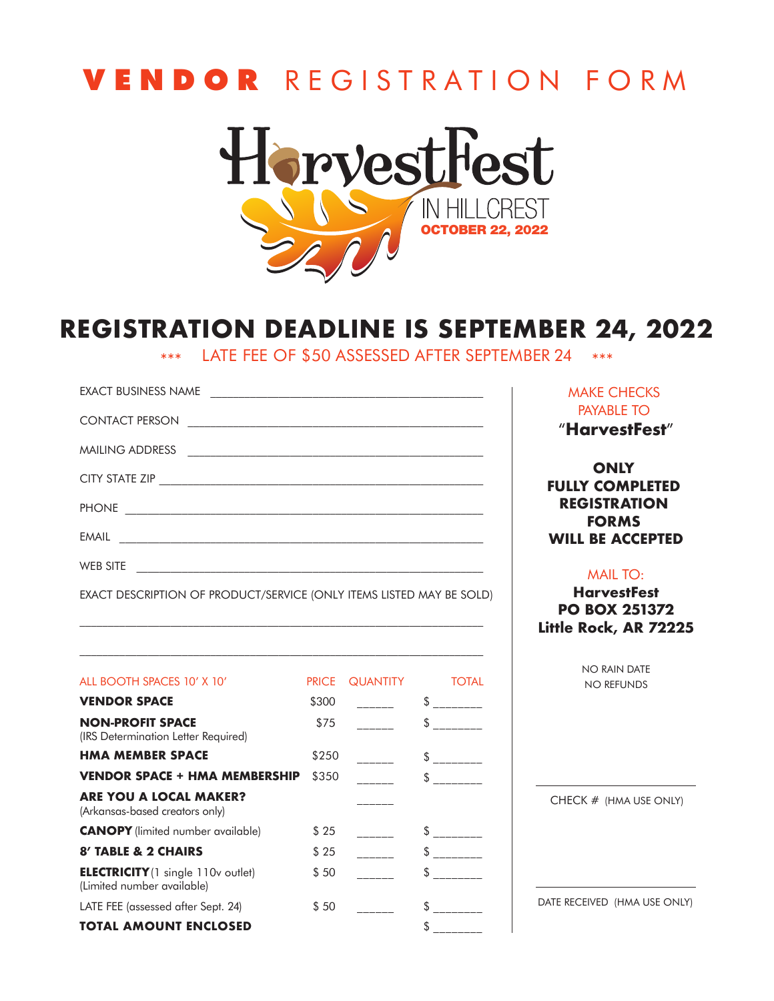## **VEND O R** R E G I S T R A TION F O R M



### **REGISTRATION DEADLINE IS SEPTEMBER 24, 2022**

\*\*\* LATE FEE OF \$50 ASSESSED AFTER SEPTEMBER 24 \*\*\*

| <b>EXACT BUSINESS NAME</b>                                           |
|----------------------------------------------------------------------|
| CONTACT PERSON                                                       |
|                                                                      |
|                                                                      |
|                                                                      |
|                                                                      |
| WEB SITE                                                             |
| EXACT DESCRIPTION OF PRODUCT/SERVICE (ONLY ITEMS LISTED MAY BE SOLD) |

MAKE CHECKS PAYABLE TO "**HarvestFest**"

**ONLY FULLY COMPLETED REGISTRATION FORMS WILL BE ACCEPTED**

#### MAIL TO:

**HarvestFest PO BOX 251372 Little Rock, AR 72225**

> NO RAIN DATE NO REFUNDS

| ALL BOOTH SPACES 10' X 10'                                              | <b>PRICE</b> | <b>QUANTITY</b> | <b>TOTAL</b> |
|-------------------------------------------------------------------------|--------------|-----------------|--------------|
| <b>VENDOR SPACE</b>                                                     | \$300        |                 | S            |
| <b>NON-PROFIT SPACE</b><br>(IRS Determination Letter Required)          | \$75         |                 | \$           |
| <b>HMA MEMBER SPACE</b>                                                 | \$250        |                 | \$.          |
| <b>VENDOR SPACE + HMA MEMBERSHIP</b>                                    | \$350        |                 | S.           |
| <b>ARE YOU A LOCAL MAKER?</b><br>(Arkansas-based creators only)         |              |                 |              |
| <b>CANOPY</b> (limited number available)                                | \$25         |                 | \$           |
| 8' TABLE & 2 CHAIRS                                                     | \$25         |                 | \$           |
| <b>ELECTRICITY</b> (1 single 110v outlet)<br>(Limited number available) | \$50         |                 | \$           |
| LATE FEE (assessed after Sept. 24)                                      | \$50         |                 | \$.          |
| TOTAL AMOUNT ENCLOSED                                                   |              |                 | S.           |

 $\mathcal{L}_\text{max} = \frac{1}{2} \sum_{i=1}^n \mathcal{L}_\text{max} = \frac{1}{2} \sum_{i=1}^n \mathcal{L}_\text{max} = \frac{1}{2} \sum_{i=1}^n \mathcal{L}_\text{max} = \frac{1}{2} \sum_{i=1}^n \mathcal{L}_\text{max} = \frac{1}{2} \sum_{i=1}^n \mathcal{L}_\text{max} = \frac{1}{2} \sum_{i=1}^n \mathcal{L}_\text{max} = \frac{1}{2} \sum_{i=1}^n \mathcal{L}_\text{max} = \frac{1}{2} \sum_{i=$ 

CHECK # (HMA USE ONLY)

DATE RECEIVED (HMA USE ONLY)